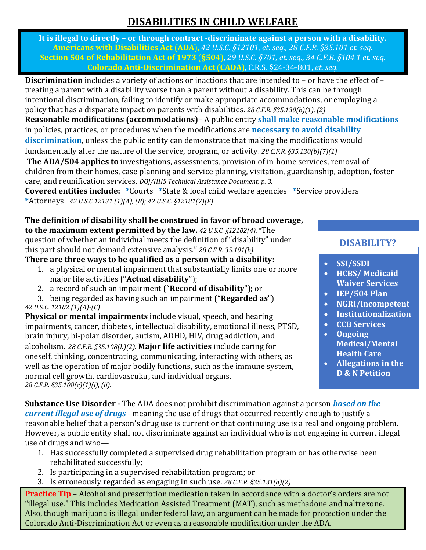# **DISABILITIES IN CHILD WELFARE**

**It is illegal to directly – or through contract -discriminate against a person with a disability. Americans with Disabilities Act** (**ADA**), *42 U.S.C. §12101*, *et. seq., 28 C.F.R. §35.101 et. seq.* **Section 504 of Rehabilitation Act of 1973** (**§504**), *29 U.S.C. §701, et. seq., 34 C.F.R. §104.1 et. seq.* **Colorado Anti-Discrimination Act** (**CADA**), C.R.S. §24-34-801, *et. seq.*

**Discrimination** includes a variety of actions or inactions that are intended to – or have the effect of – treating a parent with a disability worse than a parent without a disability. This can be through intentional discrimination, failing to identify or make appropriate accommodations, or employing a policy that has a disparate impact on parents with disabilities. *28 C.F.R. §35.130(b)(1), (2)*

**Reasonable modifications (accommodations)–** A public entity **shall make reasonable modifications** in policies, practices, or procedures when the modifications are **necessary to avoid disability discrimination**, unless the public entity can demonstrate that making the modifications would fundamentally alter the nature of the service, program, or activity. *28 C.F.R. §35.130(b)(7)(1)*

**The ADA/504 applies to** investigations, assessments, provision of in-home services, removal of children from their homes, case planning and service planning, visitation, guardianship, adoption, foster care, and reunification services. *DOJ/HHS Technical Assistance Document, p. 3.*

**Covered entities include: \***Courts **\***State & local child welfare agencies **\***Service providers **\***Attorneys *42 U.S.C 12131 (1)(A), (B); 42 U.S.C. §12181(7)(F)*

# **The definition of disability shall be construed in favor of broad coverage,**

**to the maximum extent permitted by the law.** *42 U.S.C. §12102(4).* "The question of whether an individual meets the definition of "disability" under this part should not demand extensive analysis." *28 C.F.R. 35.101(b).*

**There are three ways to be qualified as a person with a disability**:

- 1. a physical or mental impairment that substantially limits one or more major life activities ("**Actual disability**");
- 2. a record of such an impairment ("**Record of disability**"); or
- 3. being regarded as having such an impairment ("**Regarded as**") *42 U.S.C. 12102 (1)(A)-(C)*

**Physical or mental impairments** include visual, speech, and hearing impairments, cancer, diabetes, intellectual disability, emotional illness, PTSD, brain injury, bi-polar disorder, autism, ADHD, HIV, drug addiction, and alcoholism. *28 C.F.R. §35.108(b)(2).* **Major life activities** include caring for oneself, thinking, concentrating, communicating, interacting with others, as well as the operation of major bodily functions, such as the immune system, normal cell growth, cardiovascular, and individual organs. *28 C.F.R. §35.108(c)(1)(i), (ii).*

## **DISABILITY?**

- **SSI/SSDI**
- **HCBS/ Medicaid Waiver Services**
- **IEP/504 Plan**
- **NGRI/Incompetent**
- **Institutionalization**
- **CCB Services**
- **Ongoing Medical/Mental Health Care**
- **Allegations in the D & N Petition**

**Substance Use Disorder -** The ADA does not prohibit discrimination against a person *based on the current illegal use of drugs* - meaning the use of drugs that occurred recently enough to justify a reasonable belief that a person's drug use is current or that continuing use is a real and ongoing problem. However, a public entity shall not discriminate against an individual who is not engaging in current illegal use of drugs and who—

- 1. Has successfully completed a supervised drug rehabilitation program or has otherwise been rehabilitated successfully;
- 2. Is participating in a supervised rehabilitation program; or
- 3. Is erroneously regarded as engaging in such use. *28 C.F.R. §35.131(a)(2)*

**Practice Tip** – Alcohol and prescription medication taken in accordance with a doctor's orders are not "illegal use." This includes Medication Assisted Treatment (MAT), such as methadone and naltrexone. Also, though marijuana is illegal under federal law, an argument can be made for protection under the Colorado Anti-Discrimination Act or even as a reasonable modification under the ADA.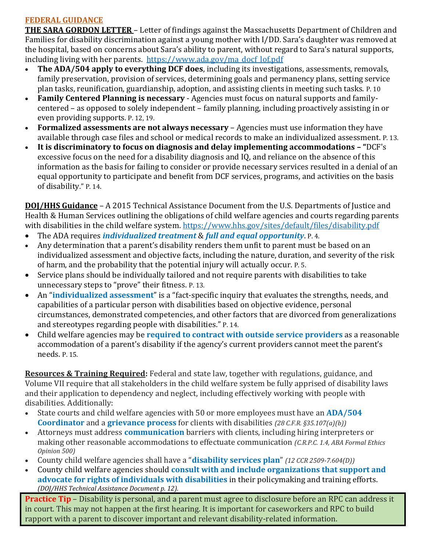### **FEDERAL GUIDANCE**

**THE SARA GORDON LETTER** – Letter of findings against the Massachusetts Department of Children and Families for disability discrimination against a young mother with I/DD. Sara's daughter was removed at the hospital, based on concerns about Sara's ability to parent, without regard to Sara's natural supports, including living with her parents. [https://www.ada.gov/ma\\_docf\\_lof.pdf](https://www.ada.gov/ma_docf_lof.pdf)

- **The ADA/504 apply to everything DCF does**, including its investigations, assessments, removals, family preservation, provision of services, determining goals and permanency plans, setting service plan tasks, reunification, guardianship, adoption, and assisting clients in meeting such tasks. P. 10
- **Family Centered Planning is necessary** Agencies must focus on natural supports and familycentered – as opposed to solely independent – family planning, including proactively assisting in or even providing supports. P. 12, 19.
- **Formalized assessments are not always necessary**  Agencies must use information they have available through case files and school or medical records to make an individualized assessment. P. 13.
- **It is discriminatory to focus on diagnosis and delay implementing accommodations – "**DCF's excessive focus on the need for a disability diagnosis and IQ, and reliance on the absence of this information as the basis for failing to consider or provide necessary services resulted in a denial of an equal opportunity to participate and benefit from DCF services, programs, and activities on the basis of disability." P. 14.

**DOJ/HHS Guidance** – A 2015 Technical Assistance Document from the U.S. Departments of Justice and Health & Human Services outlining the obligations of child welfare agencies and courts regarding parents with disabilities in the child welfare system.<https://www.hhs.gov/sites/default/files/disability.pdf>

- The ADA requires *individualized treatment* & *full and equal opportunity*. P. 4.
- Any determination that a parent's disability renders them unfit to parent must be based on an individualized assessment and objective facts, including the nature, duration, and severity of the risk of harm, and the probability that the potential injury will actually occur. P. 5.
- Service plans should be individually tailored and not require parents with disabilities to take unnecessary steps to "prove" their fitness. P. 13.
- An "**individualized assessment**" is a "fact-specific inquiry that evaluates the strengths, needs, and capabilities of a particular person with disabilities based on objective evidence, personal circumstances, demonstrated competencies, and other factors that are divorced from generalizations and stereotypes regarding people with disabilities." P. 14.
- Child welfare agencies may be **required to contract with outside service providers** as a reasonable accommodation of a parent's disability if the agency's current providers cannot meet the parent's needs. P. 15.

**Resources & Training Required:** Federal and state law, together with regulations, guidance, and Volume VII require that all stakeholders in the child welfare system be fully apprised of disability laws and their application to dependency and neglect, including effectively working with people with disabilities. Additionally:

- State courts and child welfare agencies with 50 or more employees must have an **ADA/504 Coordinator** and a **grievance process** for clients with disabilities *(28 C.F.R. §35.107(a)(b))*
- Attorneys must address **communication** barriers with clients, including hiring interpreters or making other reasonable accommodations to effectuate communication *(C.R.P.C. 1.4, ABA Formal Ethics Opinion 500)*
- County child welfare agencies shall have a "**disability services plan**" *(12 CCR 2509-7.604(D))*
- County child welfare agencies should **consult with and include organizations that support and advocate for rights of individuals with disabilities** in their policymaking and training efforts. *(DOJ/HHS Technical Assistance Document p. 12).*

**Practice Tip** – Disability is personal, and a parent must agree to disclosure before an RPC can address it in court. This may not happen at the first hearing. It is important for caseworkers and RPC to build rapport with a parent to discover important and relevant disability-related information.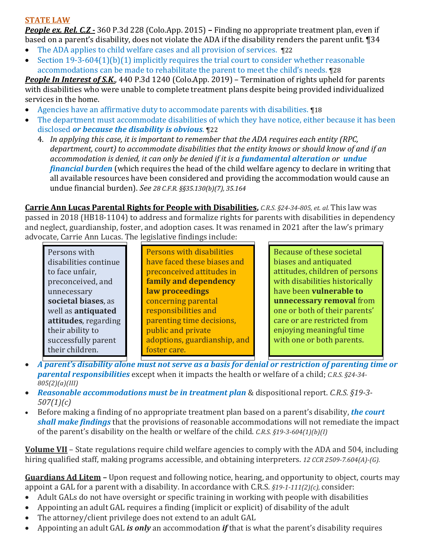#### **STATE LAW**

*People ex. Rel. C.Z* **-** 360 P.3d 228 (Colo.App. 2015) **–** Finding no appropriate treatment plan, even if based on a parent's disability, does not violate the ADA if the disability renders the parent unfit. ¶34

- The ADA applies to child welfare cases and all provision of services. ¶22
- Section 19-3-604(1)(b)(1) implicitly requires the trial court to consider whether reasonable accommodations can be made to rehabilitate the parent to meet the child's needs. ¶28

*People In Interest of S.K*., 440 P.3d 1240 (Colo.App. 2019) – Termination of rights upheld for parents with disabilities who were unable to complete treatment plans despite being provided individualized services in the home.

- Agencies have an affirmative duty to accommodate parents with disabilities. ¶18
- The department must accommodate disabilities of which they have notice, either because it has been disclosed *or because the disability is obvious*. ¶22
	- 4. *In applying this case, it is important to remember that the ADA requires each entity (RPC, department, court) to accommodate disabilities that the entity knows or should know of and if an accommodation is denied, it can only be denied if it is a fundamental alteration or undue financial burden* (which requires the head of the child welfare agency to declare in writing that all available resources have been considered and providing the accommodation would cause an undue financial burden). *See 28 C.F.R. §§35.130(b)(7), 35.164*

**Carrie Ann Lucas Parental Rights for People with Disabilities,** *C.R.S. §24-34-805, et. al.* This law was passed in 2018 (HB18-1104) to address and formalize rights for parents with disabilities in dependency and neglect, guardianship, foster, and adoption cases. It was renamed in 2021 after the law's primary advocate, Carrie Ann Lucas. The legislative findings include:

| Persons with          |  |
|-----------------------|--|
| disabilities continue |  |
| to face unfair,       |  |
| preconceived, and     |  |
| unnecessary           |  |
| societal biases, as   |  |
| well as antiquated    |  |
| attitudes, regarding  |  |
| their ability to      |  |
| successfully parent   |  |
| their children.       |  |

Persons with disabilities have faced these biases and preconceived attitudes in **family and dependency law proceedings** concerning parental responsibilities and parenting time decisions, public and private adoptions, guardianship, and foster care.

Because of these societal biases and antiquated attitudes, children of persons with disabilities historically have been **vulnerable to unnecessary removal** from one or both of their parents' care or are restricted from enjoying meaningful time with one or both parents.

- A parent's disability alone must not serve as a basis for denial or restriction of parenting time or *parental responsibilities* except when it impacts the health or welfare of a child; *C.R.S. §24-34- 805(2)(a)(III)*
- *Reasonable accommodations must be in treatment plan* & dispositional report. *C.R.S. §19-3- 507(1)(c)*
- Before making a finding of no appropriate treatment plan based on a parent's disability, *the court shall make findings* that the provisions of reasonable accommodations will not remediate the impact of the parent's disability on the health or welfare of the child. *C.R.S. §19-3-604(1)(b)(I)*

**Volume VII** – State regulations require child welfare agencies to comply with the ADA and 504, including hiring qualified staff, making programs accessible, and obtaining interpreters. *12 CCR 2509-7.604(A)-(G).*

**Guardians Ad Litem –** Upon request and following notice, hearing, and opportunity to object, courts may appoint a GAL for a parent with a disability. In accordance with C.R.S. *§19-1-111(2)(c),* consider:

- Adult GALs do not have oversight or specific training in working with people with disabilities
- Appointing an adult GAL requires a finding (implicit or explicit) of disability of the adult
- The attorney/client privilege does not extend to an adult GAL
- Appointing an adult GAL *is only* an accommodation *if* that is what the parent's disability requires